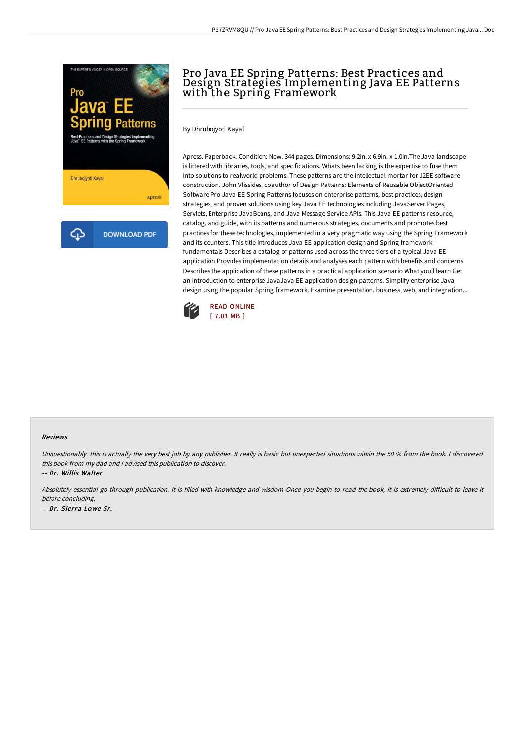

# Pro Java EE Spring Patterns: Best Practices and Design Strategies Implementing Java EE Patterns with the Spring Framework

By Dhrubojyoti Kayal

Apress. Paperback. Condition: New. 344 pages. Dimensions: 9.2in. x 6.9in. x 1.0in.The Java landscape is littered with libraries, tools, and specifications. Whats been lacking is the expertise to fuse them into solutions to realworld problems. These patterns are the intellectual mortar for J2EE software construction. John Vlissides, coauthor of Design Patterns: Elements of Reusable ObjectOriented Software Pro Java EE Spring Patterns focuses on enterprise patterns, best practices, design strategies, and proven solutions using key Java EE technologies including JavaServer Pages, Servlets, Enterprise JavaBeans, and Java Message Service APIs. This Java EE patterns resource, catalog, and guide, with its patterns and numerous strategies, documents and promotes best practices for these technologies, implemented in a very pragmatic way using the Spring Framework and its counters. This title Introduces Java EE application design and Spring framework fundamentals Describes a catalog of patterns used across the three tiers of a typical Java EE application Provides implementation details and analyses each pattern with benefits and concerns Describes the application of these patterns in a practical application scenario What youll learn Get an introduction to enterprise JavaJava EE application design patterns. Simplify enterprise Java design using the popular Spring framework. Examine presentation, business, web, and integration...



#### Reviews

Unquestionably, this is actually the very best job by any publisher. It really is basic but unexpected situations within the 50 % from the book. I discovered this book from my dad and i advised this publication to discover.

-- Dr. Willis Walter

Absolutely essential go through publication. It is filled with knowledge and wisdom Once you begin to read the book, it is extremely difficult to leave it before concluding. -- Dr. Sierra Lowe Sr.